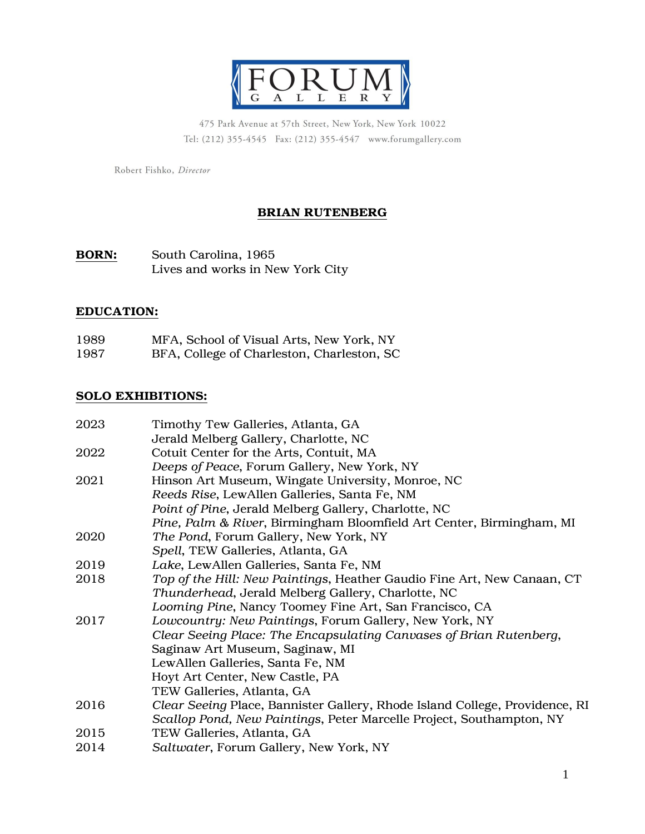

475 Park Avenue at 57th Street, New York, New York 10022 Tel: (212) 355-4545 Fax: (212) 355-4547 www.forumgallery.com

Robert Fishko, Director

# BRIAN RUTENBERG

## BORN: South Carolina, 1965 Lives and works in New York City

#### EDUCATION:

| 1989 | MFA, School of Visual Arts, New York, NY |  |  |    |
|------|------------------------------------------|--|--|----|
| ---- |                                          |  |  | -- |

1987 BFA, College of Charleston, Charleston, SC

#### SOLO EXHIBITIONS:

| 2023 | Timothy Tew Galleries, Atlanta, GA                                          |
|------|-----------------------------------------------------------------------------|
|      | Jerald Melberg Gallery, Charlotte, NC                                       |
| 2022 | Cotuit Center for the Arts, Contuit, MA                                     |
|      | Deeps of Peace, Forum Gallery, New York, NY                                 |
| 2021 | Hinson Art Museum, Wingate University, Monroe, NC                           |
|      | Reeds Rise, LewAllen Galleries, Santa Fe, NM                                |
|      | Point of Pine, Jerald Melberg Gallery, Charlotte, NC                        |
|      | Pine, Palm & River, Birmingham Bloomfield Art Center, Birmingham, MI        |
| 2020 | The Pond, Forum Gallery, New York, NY                                       |
|      | Spell, TEW Galleries, Atlanta, GA                                           |
| 2019 | Lake, LewAllen Galleries, Santa Fe, NM                                      |
| 2018 | Top of the Hill: New Paintings, Heather Gaudio Fine Art, New Canaan, CT     |
|      | Thunderhead, Jerald Melberg Gallery, Charlotte, NC                          |
|      | Looming Pine, Nancy Toomey Fine Art, San Francisco, CA                      |
| 2017 | Lowcountry: New Paintings, Forum Gallery, New York, NY                      |
|      | Clear Seeing Place: The Encapsulating Canvases of Brian Rutenberg,          |
|      | Saginaw Art Museum, Saginaw, MI                                             |
|      | LewAllen Galleries, Santa Fe, NM                                            |
|      | Hoyt Art Center, New Castle, PA                                             |
|      | TEW Galleries, Atlanta, GA                                                  |
| 2016 | Clear Seeing Place, Bannister Gallery, Rhode Island College, Providence, RI |
|      | Scallop Pond, New Paintings, Peter Marcelle Project, Southampton, NY        |
| 2015 | TEW Galleries, Atlanta, GA                                                  |
| 2014 | Saltwater, Forum Gallery, New York, NY                                      |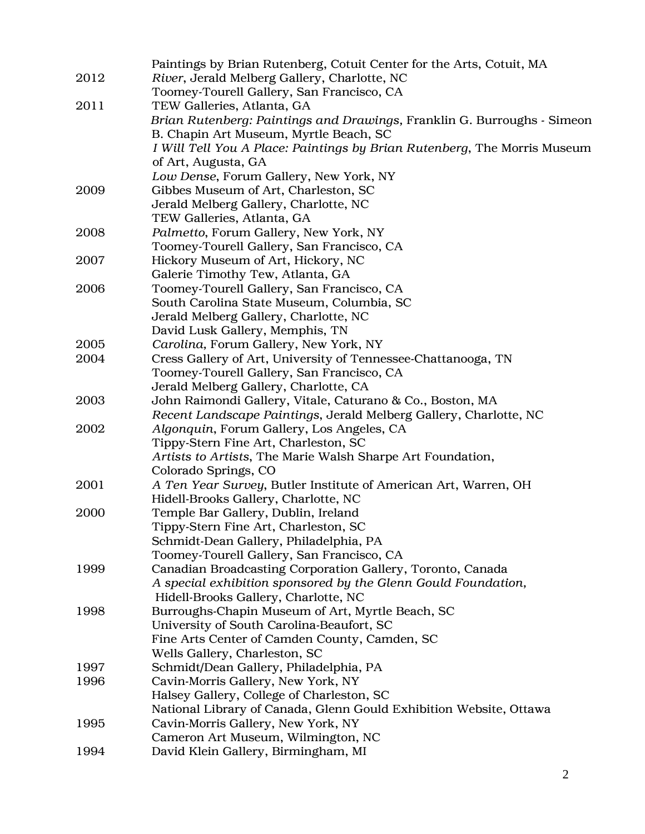|      | Paintings by Brian Rutenberg, Cotuit Center for the Arts, Cotuit, MA            |
|------|---------------------------------------------------------------------------------|
| 2012 | River, Jerald Melberg Gallery, Charlotte, NC                                    |
|      | Toomey-Tourell Gallery, San Francisco, CA                                       |
| 2011 | TEW Galleries, Atlanta, GA                                                      |
|      | Brian Rutenberg: Paintings and Drawings, Franklin G. Burroughs - Simeon         |
|      | B. Chapin Art Museum, Myrtle Beach, SC                                          |
|      | I Will Tell You A Place: Paintings by Brian Rutenberg, The Morris Museum        |
|      | of Art, Augusta, GA                                                             |
|      | Low Dense, Forum Gallery, New York, NY                                          |
| 2009 | Gibbes Museum of Art, Charleston, SC                                            |
|      | Jerald Melberg Gallery, Charlotte, NC                                           |
|      | TEW Galleries, Atlanta, GA                                                      |
| 2008 | Palmetto, Forum Gallery, New York, NY                                           |
|      | Toomey-Tourell Gallery, San Francisco, CA                                       |
| 2007 | Hickory Museum of Art, Hickory, NC                                              |
|      | Galerie Timothy Tew, Atlanta, GA                                                |
| 2006 | Toomey-Tourell Gallery, San Francisco, CA                                       |
|      | South Carolina State Museum, Columbia, SC                                       |
|      | Jerald Melberg Gallery, Charlotte, NC                                           |
|      | David Lusk Gallery, Memphis, TN                                                 |
| 2005 | Carolina, Forum Gallery, New York, NY                                           |
| 2004 | Cress Gallery of Art, University of Tennessee-Chattanooga, TN                   |
|      | Toomey-Tourell Gallery, San Francisco, CA                                       |
|      | Jerald Melberg Gallery, Charlotte, CA                                           |
| 2003 | John Raimondi Gallery, Vitale, Caturano & Co., Boston, MA                       |
|      | Recent Landscape Paintings, Jerald Melberg Gallery, Charlotte, NC               |
| 2002 | Algonquin, Forum Gallery, Los Angeles, CA                                       |
|      | Tippy-Stern Fine Art, Charleston, SC                                            |
|      | Artists to Artists, The Marie Walsh Sharpe Art Foundation,                      |
|      | Colorado Springs, CO                                                            |
| 2001 | A Ten Year Survey, Butler Institute of American Art, Warren, OH                 |
|      | Hidell-Brooks Gallery, Charlotte, NC                                            |
| 2000 | Temple Bar Gallery, Dublin, Ireland                                             |
|      | Tippy-Stern Fine Art, Charleston, SC                                            |
|      | Schmidt-Dean Gallery, Philadelphia, PA                                          |
|      | Toomey-Tourell Gallery, San Francisco, CA                                       |
| 1999 | Canadian Broadcasting Corporation Gallery, Toronto, Canada                      |
|      | A special exhibition sponsored by the Glenn Gould Foundation,                   |
|      | Hidell-Brooks Gallery, Charlotte, NC                                            |
| 1998 | Burroughs-Chapin Museum of Art, Myrtle Beach, SC                                |
|      | University of South Carolina-Beaufort, SC                                       |
|      | Fine Arts Center of Camden County, Camden, SC<br>Wells Gallery, Charleston, SC  |
| 1997 | Schmidt/Dean Gallery, Philadelphia, PA                                          |
| 1996 |                                                                                 |
|      | Cavin-Morris Gallery, New York, NY<br>Halsey Gallery, College of Charleston, SC |
|      | National Library of Canada, Glenn Gould Exhibition Website, Ottawa              |
| 1995 | Cavin-Morris Gallery, New York, NY                                              |
|      | Cameron Art Museum, Wilmington, NC                                              |
| 1994 | David Klein Gallery, Birmingham, MI                                             |
|      |                                                                                 |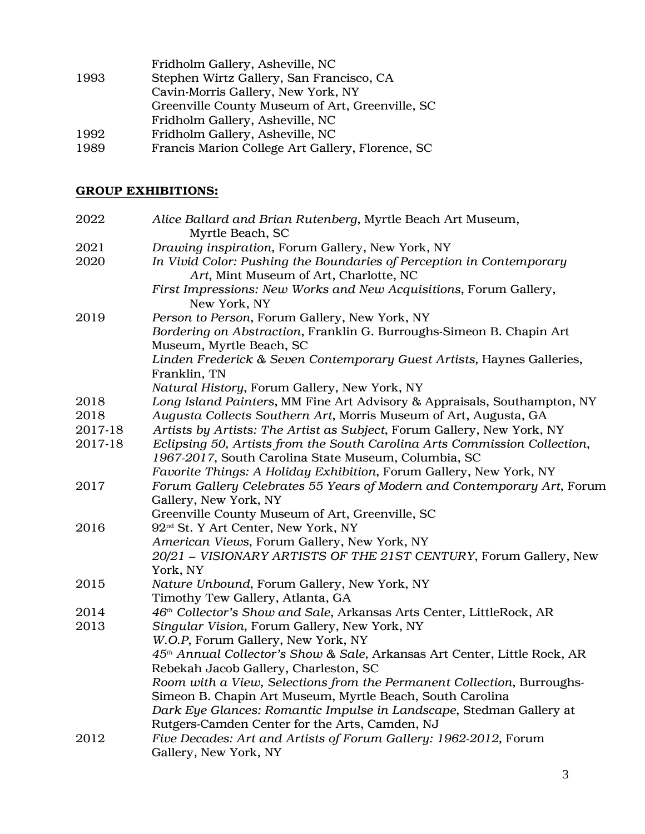|      | Fridholm Gallery, Asheville, NC                  |
|------|--------------------------------------------------|
| 1993 | Stephen Wirtz Gallery, San Francisco, CA         |
|      | Cavin-Morris Gallery, New York, NY               |
|      | Greenville County Museum of Art, Greenville, SC  |
|      | Fridholm Gallery, Asheville, NC                  |
| 1992 | Fridholm Gallery, Asheville, NC                  |
| 1989 | Francis Marion College Art Gallery, Florence, SC |
|      |                                                  |

## GROUP EXHIBITIONS:

| 2022    | Alice Ballard and Brian Rutenberg, Myrtle Beach Art Museum,<br>Myrtle Beach, SC                  |
|---------|--------------------------------------------------------------------------------------------------|
| 2021    | Drawing inspiration, Forum Gallery, New York, NY                                                 |
| 2020    | In Vivid Color: Pushing the Boundaries of Perception in Contemporary                             |
|         | Art, Mint Museum of Art, Charlotte, NC                                                           |
|         | First Impressions: New Works and New Acquisitions, Forum Gallery,<br>New York, NY                |
| 2019    | Person to Person, Forum Gallery, New York, NY                                                    |
|         | Bordering on Abstraction, Franklin G. Burroughs-Simeon B. Chapin Art<br>Museum, Myrtle Beach, SC |
|         | Linden Frederick & Seven Contemporary Guest Artists, Haynes Galleries,<br>Franklin, TN           |
|         | Natural History, Forum Gallery, New York, NY                                                     |
| 2018    | Long Island Painters, MM Fine Art Advisory & Appraisals, Southampton, NY                         |
| 2018    | Augusta Collects Southern Art, Morris Museum of Art, Augusta, GA                                 |
| 2017-18 | Artists by Artists: The Artist as Subject, Forum Gallery, New York, NY                           |
| 2017-18 | Eclipsing 50, Artists from the South Carolina Arts Commission Collection,                        |
|         | 1967-2017, South Carolina State Museum, Columbia, SC                                             |
|         | Favorite Things: A Holiday Exhibition, Forum Gallery, New York, NY                               |
| 2017    | Forum Gallery Celebrates 55 Years of Modern and Contemporary Art, Forum<br>Gallery, New York, NY |
|         | Greenville County Museum of Art, Greenville, SC                                                  |
| 2016    | 92 <sup>nd</sup> St. Y Art Center, New York, NY                                                  |
|         | American Views, Forum Gallery, New York, NY                                                      |
|         | 20/21 - VISIONARY ARTISTS OF THE 21ST CENTURY, Forum Gallery, New                                |
|         | York, NY                                                                                         |
| 2015    | Nature Unbound, Forum Gallery, New York, NY                                                      |
|         | Timothy Tew Gallery, Atlanta, GA                                                                 |
| 2014    | 46 <sup>th</sup> Collector's Show and Sale, Arkansas Arts Center, LittleRock, AR                 |
| 2013    | Singular Vision, Forum Gallery, New York, NY                                                     |
|         | W.O.P, Forum Gallery, New York, NY                                                               |
|         | 45 <sup>th</sup> Annual Collector's Show & Sale, Arkansas Art Center, Little Rock, AR            |
|         | Rebekah Jacob Gallery, Charleston, SC                                                            |
|         | Room with a View, Selections from the Permanent Collection, Burroughs-                           |
|         | Simeon B. Chapin Art Museum, Myrtle Beach, South Carolina                                        |
|         | Dark Eye Glances: Romantic Impulse in Landscape, Stedman Gallery at                              |
|         | Rutgers-Camden Center for the Arts, Camden, NJ                                                   |
| 2012    | Five Decades: Art and Artists of Forum Gallery: 1962-2012, Forum                                 |
|         | Gallery, New York, NY                                                                            |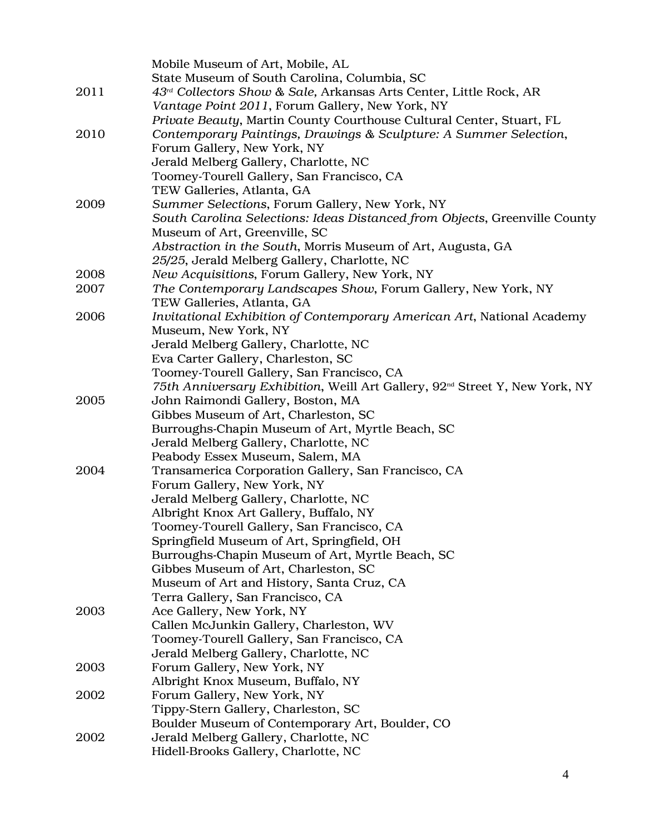|      | Mobile Museum of Art, Mobile, AL                                                        |
|------|-----------------------------------------------------------------------------------------|
|      | State Museum of South Carolina, Columbia, SC                                            |
| 2011 | $43rd$ Collectors Show & Sale, Arkansas Arts Center, Little Rock, AR                    |
|      | Vantage Point 2011, Forum Gallery, New York, NY                                         |
|      | Private Beauty, Martin County Courthouse Cultural Center, Stuart, FL                    |
| 2010 | Contemporary Paintings, Drawings & Sculpture: A Summer Selection,                       |
|      | Forum Gallery, New York, NY                                                             |
|      | Jerald Melberg Gallery, Charlotte, NC                                                   |
|      | Toomey-Tourell Gallery, San Francisco, CA                                               |
|      | TEW Galleries, Atlanta, GA                                                              |
| 2009 | Summer Selections, Forum Gallery, New York, NY                                          |
|      | South Carolina Selections: Ideas Distanced from Objects, Greenville County              |
|      | Museum of Art, Greenville, SC                                                           |
|      | Abstraction in the South, Morris Museum of Art, Augusta, GA                             |
|      | 25/25, Jerald Melberg Gallery, Charlotte, NC                                            |
| 2008 | New Acquisitions, Forum Gallery, New York, NY                                           |
| 2007 | The Contemporary Landscapes Show, Forum Gallery, New York, NY                           |
|      | TEW Galleries, Atlanta, GA                                                              |
| 2006 | Invitational Exhibition of Contemporary American Art, National Academy                  |
|      | Museum, New York, NY                                                                    |
|      | Jerald Melberg Gallery, Charlotte, NC                                                   |
|      | Eva Carter Gallery, Charleston, SC                                                      |
|      | Toomey-Tourell Gallery, San Francisco, CA                                               |
|      | 75th Anniversary Exhibition, Weill Art Gallery, 92 <sup>nd</sup> Street Y, New York, NY |
| 2005 | John Raimondi Gallery, Boston, MA                                                       |
|      | Gibbes Museum of Art, Charleston, SC                                                    |
|      | Burroughs-Chapin Museum of Art, Myrtle Beach, SC                                        |
|      | Jerald Melberg Gallery, Charlotte, NC                                                   |
|      | Peabody Essex Museum, Salem, MA                                                         |
| 2004 | Transamerica Corporation Gallery, San Francisco, CA                                     |
|      | Forum Gallery, New York, NY                                                             |
|      | Jerald Melberg Gallery, Charlotte, NC                                                   |
|      | Albright Knox Art Gallery, Buffalo, NY                                                  |
|      | Toomey-Tourell Gallery, San Francisco, CA                                               |
|      | Springfield Museum of Art, Springfield, OH                                              |
|      | Burroughs-Chapin Museum of Art, Myrtle Beach, SC                                        |
|      | Gibbes Museum of Art, Charleston, SC                                                    |
|      | Museum of Art and History, Santa Cruz, CA                                               |
|      | Terra Gallery, San Francisco, CA                                                        |
| 2003 | Ace Gallery, New York, NY                                                               |
|      | Callen McJunkin Gallery, Charleston, WV                                                 |
|      | Toomey-Tourell Gallery, San Francisco, CA                                               |
|      | Jerald Melberg Gallery, Charlotte, NC                                                   |
| 2003 | Forum Gallery, New York, NY                                                             |
|      | Albright Knox Museum, Buffalo, NY                                                       |
| 2002 | Forum Gallery, New York, NY                                                             |
|      | Tippy-Stern Gallery, Charleston, SC                                                     |
|      | Boulder Museum of Contemporary Art, Boulder, CO                                         |
| 2002 | Jerald Melberg Gallery, Charlotte, NC                                                   |
|      | Hidell-Brooks Gallery, Charlotte, NC                                                    |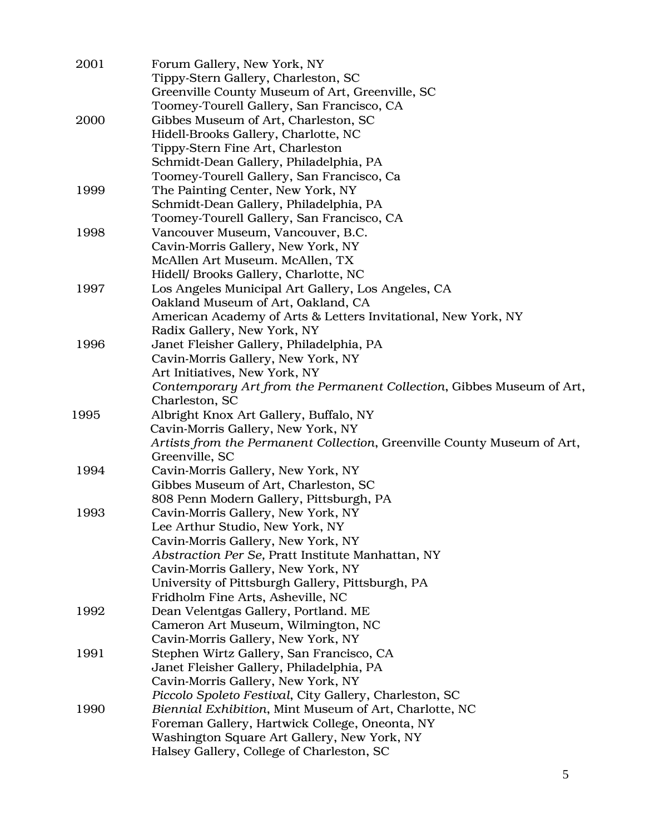| 2001 | Forum Gallery, New York, NY<br>Tippy-Stern Gallery, Charleston, SC                       |
|------|------------------------------------------------------------------------------------------|
|      | Greenville County Museum of Art, Greenville, SC                                          |
|      | Toomey-Tourell Gallery, San Francisco, CA                                                |
| 2000 | Gibbes Museum of Art, Charleston, SC                                                     |
|      | Hidell-Brooks Gallery, Charlotte, NC                                                     |
|      | Tippy-Stern Fine Art, Charleston                                                         |
|      | Schmidt-Dean Gallery, Philadelphia, PA                                                   |
|      | Toomey-Tourell Gallery, San Francisco, Ca                                                |
| 1999 | The Painting Center, New York, NY                                                        |
|      | Schmidt-Dean Gallery, Philadelphia, PA                                                   |
|      | Toomey-Tourell Gallery, San Francisco, CA                                                |
| 1998 | Vancouver Museum, Vancouver, B.C.                                                        |
|      | Cavin-Morris Gallery, New York, NY                                                       |
|      | McAllen Art Museum. McAllen, TX                                                          |
|      | Hidell/ Brooks Gallery, Charlotte, NC                                                    |
| 1997 | Los Angeles Municipal Art Gallery, Los Angeles, CA                                       |
|      | Oakland Museum of Art, Oakland, CA                                                       |
|      | American Academy of Arts & Letters Invitational, New York, NY                            |
|      | Radix Gallery, New York, NY                                                              |
| 1996 | Janet Fleisher Gallery, Philadelphia, PA                                                 |
|      | Cavin-Morris Gallery, New York, NY                                                       |
|      | Art Initiatives, New York, NY                                                            |
|      | Contemporary Art from the Permanent Collection, Gibbes Museum of Art,                    |
|      | Charleston, SC                                                                           |
| 1995 | Albright Knox Art Gallery, Buffalo, NY                                                   |
|      | Cavin-Morris Gallery, New York, NY                                                       |
|      | Artists from the Permanent Collection, Greenville County Museum of Art,                  |
|      | Greenville, SC                                                                           |
| 1994 | Cavin-Morris Gallery, New York, NY                                                       |
|      | Gibbes Museum of Art, Charleston, SC                                                     |
|      | 808 Penn Modern Gallery, Pittsburgh, PA                                                  |
| 1993 | Cavin-Morris Gallery, New York, NY                                                       |
|      | Lee Arthur Studio, New York, NY                                                          |
|      | Cavin-Morris Gallery, New York, NY                                                       |
|      | Abstraction Per Se, Pratt Institute Manhattan, NY                                        |
|      | Cavin-Morris Gallery, New York, NY                                                       |
|      | University of Pittsburgh Gallery, Pittsburgh, PA                                         |
|      | Fridholm Fine Arts, Asheville, NC                                                        |
| 1992 | Dean Velentgas Gallery, Portland. ME                                                     |
|      | Cameron Art Museum, Wilmington, NC                                                       |
|      | Cavin-Morris Gallery, New York, NY                                                       |
| 1991 | Stephen Wirtz Gallery, San Francisco, CA                                                 |
|      | Janet Fleisher Gallery, Philadelphia, PA                                                 |
|      | Cavin-Morris Gallery, New York, NY                                                       |
|      | Piccolo Spoleto Festival, City Gallery, Charleston, SC                                   |
| 1990 | Biennial Exhibition, Mint Museum of Art, Charlotte, NC                                   |
|      | Foreman Gallery, Hartwick College, Oneonta, NY                                           |
|      | Washington Square Art Gallery, New York, NY<br>Halsey Gallery, College of Charleston, SC |
|      |                                                                                          |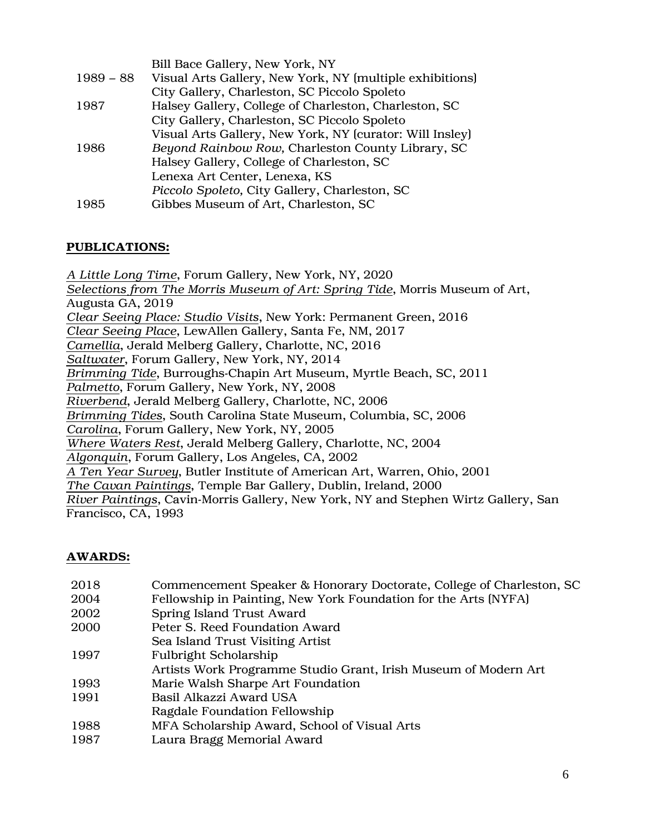|             | Bill Bace Gallery, New York, NY                          |
|-------------|----------------------------------------------------------|
| $1989 - 88$ | Visual Arts Gallery, New York, NY (multiple exhibitions) |
|             | City Gallery, Charleston, SC Piccolo Spoleto             |
| 1987        | Halsey Gallery, College of Charleston, Charleston, SC    |
|             | City Gallery, Charleston, SC Piccolo Spoleto             |
|             | Visual Arts Gallery, New York, NY (curator: Will Insley) |
| 1986        | Beyond Rainbow Row, Charleston County Library, SC        |
|             | Halsey Gallery, College of Charleston, SC                |
|             | Lenexa Art Center, Lenexa, KS                            |
|             | Piccolo Spoleto, City Gallery, Charleston, SC            |
| 1985        | Gibbes Museum of Art, Charleston, SC                     |
|             |                                                          |

## PUBLICATIONS:

*A Little Long Time*, Forum Gallery, New York, NY, 2020 *Selections from The Morris Museum of Art: Spring Tide*, Morris Museum of Art, Augusta GA, 2019 *Clear Seeing Place: Studio Visits*, New York: Permanent Green, 2016 *Clear Seeing Place*, LewAllen Gallery, Santa Fe, NM, 2017 *Camellia*, Jerald Melberg Gallery, Charlotte, NC, 2016 *Saltwater*, Forum Gallery, New York, NY, 2014 *Brimming Tide*, Burroughs-Chapin Art Museum, Myrtle Beach, SC, 2011 *Palmetto*, Forum Gallery, New York, NY, 2008 *Riverbend*, Jerald Melberg Gallery, Charlotte, NC, 2006 *Brimming Tides*, South Carolina State Museum, Columbia, SC, 2006 *Carolina*, Forum Gallery, New York, NY, 2005 *Where Waters Rest*, Jerald Melberg Gallery, Charlotte, NC, 2004 *Algonquin*, Forum Gallery, Los Angeles, CA, 2002 *A Ten Year Survey*, Butler Institute of American Art, Warren, Ohio, 2001 *The Cavan Paintings*, Temple Bar Gallery, Dublin, Ireland, 2000 *River Paintings*, Cavin-Morris Gallery, New York, NY and Stephen Wirtz Gallery, San Francisco, CA, 1993

## AWARDS:

| 2018 | Commencement Speaker & Honorary Doctorate, College of Charleston, SC |
|------|----------------------------------------------------------------------|
| 2004 | Fellowship in Painting, New York Foundation for the Arts (NYFA)      |
| 2002 | Spring Island Trust Award                                            |
| 2000 | Peter S. Reed Foundation Award                                       |
|      | Sea Island Trust Visiting Artist                                     |
| 1997 | <b>Fulbright Scholarship</b>                                         |
|      | Artists Work Programme Studio Grant, Irish Museum of Modern Art      |
| 1993 | Marie Walsh Sharpe Art Foundation                                    |
| 1991 | Basil Alkazzi Award USA                                              |
|      | Ragdale Foundation Fellowship                                        |
| 1988 | MFA Scholarship Award, School of Visual Arts                         |
| 1987 | Laura Bragg Memorial Award                                           |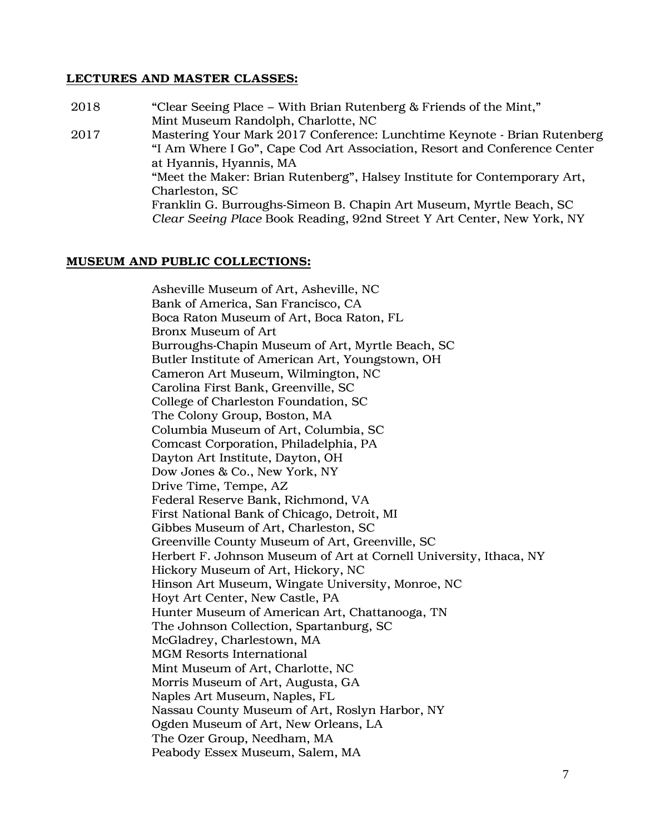#### LECTURES AND MASTER CLASSES:

2018 "Clear Seeing Place – With Brian Rutenberg & Friends of the Mint," Mint Museum Randolph, Charlotte, NC 2017 Mastering Your Mark 2017 Conference: Lunchtime Keynote - Brian Rutenberg "I Am Where I Go", Cape Cod Art Association, Resort and Conference Center at Hyannis, Hyannis, MA "Meet the Maker: Brian Rutenberg", Halsey Institute for Contemporary Art, Charleston, SC Franklin G. Burroughs-Simeon B. Chapin Art Museum, Myrtle Beach, SC *Clear Seeing Place* Book Reading, 92nd Street Y Art Center, New York, NY

#### MUSEUM AND PUBLIC COLLECTIONS:

Asheville Museum of Art, Asheville, NC Bank of America, San Francisco, CA Boca Raton Museum of Art, Boca Raton, FL Bronx Museum of Art Burroughs-Chapin Museum of Art, Myrtle Beach, SC Butler Institute of American Art, Youngstown, OH Cameron Art Museum, Wilmington, NC Carolina First Bank, Greenville, SC College of Charleston Foundation, SC The Colony Group, Boston, MA Columbia Museum of Art, Columbia, SC Comcast Corporation, Philadelphia, PA Dayton Art Institute, Dayton, OH Dow Jones & Co., New York, NY Drive Time, Tempe, AZ Federal Reserve Bank, Richmond, VA First National Bank of Chicago, Detroit, MI Gibbes Museum of Art, Charleston, SC Greenville County Museum of Art, Greenville, SC Herbert F. Johnson Museum of Art at Cornell University, Ithaca, NY Hickory Museum of Art, Hickory, NC Hinson Art Museum, Wingate University, Monroe, NC Hoyt Art Center, New Castle, PA Hunter Museum of American Art, Chattanooga, TN The Johnson Collection, Spartanburg, SC McGladrey, Charlestown, MA MGM Resorts International Mint Museum of Art, Charlotte, NC Morris Museum of Art, Augusta, GA Naples Art Museum, Naples, FL Nassau County Museum of Art, Roslyn Harbor, NY Ogden Museum of Art, New Orleans, LA The Ozer Group, Needham, MA Peabody Essex Museum, Salem, MA